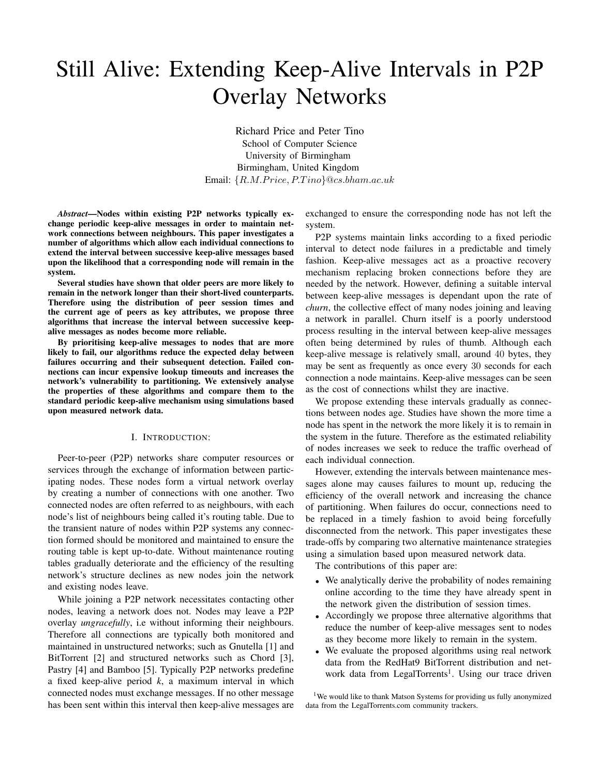# Still Alive: Extending Keep-Alive Intervals in P2P Overlay Networks

Richard Price and Peter Tino School of Computer Science University of Birmingham Birmingham, United Kingdom Email: {R.M.P rice, P.T ino}@cs.bham.ac.uk

*Abstract*—Nodes within existing P2P networks typically exchange periodic keep-alive messages in order to maintain network connections between neighbours. This paper investigates a number of algorithms which allow each individual connections to extend the interval between successive keep-alive messages based upon the likelihood that a corresponding node will remain in the system.

Several studies have shown that older peers are more likely to remain in the network longer than their short-lived counterparts. Therefore using the distribution of peer session times and the current age of peers as key attributes, we propose three algorithms that increase the interval between successive keepalive messages as nodes become more reliable.

By prioritising keep-alive messages to nodes that are more likely to fail, our algorithms reduce the expected delay between failures occurring and their subsequent detection. Failed connections can incur expensive lookup timeouts and increases the network's vulnerability to partitioning. We extensively analyse the properties of these algorithms and compare them to the standard periodic keep-alive mechanism using simulations based upon measured network data.

## I. INTRODUCTION:

Peer-to-peer (P2P) networks share computer resources or services through the exchange of information between participating nodes. These nodes form a virtual network overlay by creating a number of connections with one another. Two connected nodes are often referred to as neighbours, with each node's list of neighbours being called it's routing table. Due to the transient nature of nodes within P2P systems any connection formed should be monitored and maintained to ensure the routing table is kept up-to-date. Without maintenance routing tables gradually deteriorate and the efficiency of the resulting network's structure declines as new nodes join the network and existing nodes leave.

While joining a P2P network necessitates contacting other nodes, leaving a network does not. Nodes may leave a P2P overlay *ungracefully*, i.e without informing their neighbours. Therefore all connections are typically both monitored and maintained in unstructured networks; such as Gnutella [1] and BitTorrent [2] and structured networks such as Chord [3], Pastry [4] and Bamboo [5]. Typically P2P networks predefine a fixed keep-alive period *k*, a maximum interval in which connected nodes must exchange messages. If no other message has been sent within this interval then keep-alive messages are

exchanged to ensure the corresponding node has not left the system.

P2P systems maintain links according to a fixed periodic interval to detect node failures in a predictable and timely fashion. Keep-alive messages act as a proactive recovery mechanism replacing broken connections before they are needed by the network. However, defining a suitable interval between keep-alive messages is dependant upon the rate of *churn*, the collective effect of many nodes joining and leaving a network in parallel. Churn itself is a poorly understood process resulting in the interval between keep-alive messages often being determined by rules of thumb. Although each keep-alive message is relatively small, around 40 bytes, they may be sent as frequently as once every 30 seconds for each connection a node maintains. Keep-alive messages can be seen as the cost of connections whilst they are inactive.

We propose extending these intervals gradually as connections between nodes age. Studies have shown the more time a node has spent in the network the more likely it is to remain in the system in the future. Therefore as the estimated reliability of nodes increases we seek to reduce the traffic overhead of each individual connection.

However, extending the intervals between maintenance messages alone may causes failures to mount up, reducing the efficiency of the overall network and increasing the chance of partitioning. When failures do occur, connections need to be replaced in a timely fashion to avoid being forcefully disconnected from the network. This paper investigates these trade-offs by comparing two alternative maintenance strategies using a simulation based upon measured network data.

The contributions of this paper are:

- We analytically derive the probability of nodes remaining online according to the time they have already spent in the network given the distribution of session times.
- Accordingly we propose three alternative algorithms that reduce the number of keep-alive messages sent to nodes as they become more likely to remain in the system.
- We evaluate the proposed algorithms using real network data from the RedHat9 BitTorrent distribution and network data from LegalTorrents<sup>1</sup>. Using our trace driven

<sup>1</sup>We would like to thank Matson Systems for providing us fully anonymized data from the LegalTorrents.com community trackers.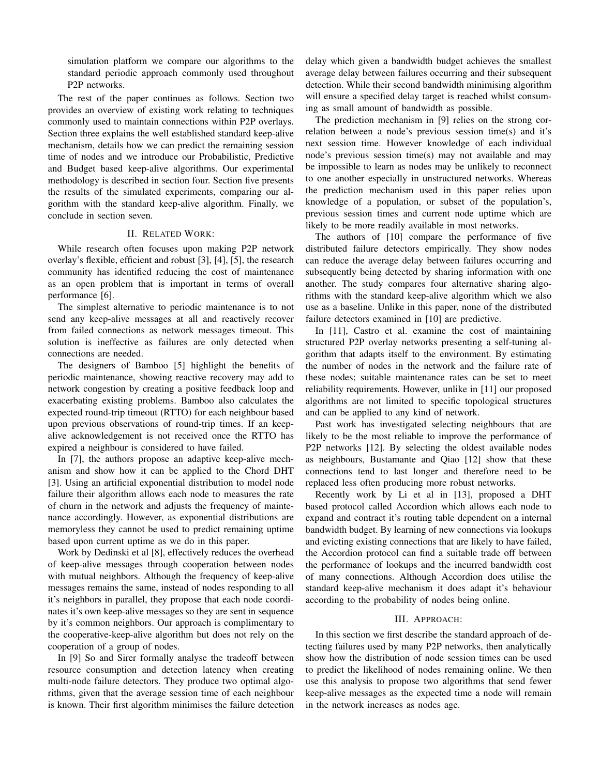simulation platform we compare our algorithms to the standard periodic approach commonly used throughout P2P networks.

The rest of the paper continues as follows. Section two provides an overview of existing work relating to techniques commonly used to maintain connections within P2P overlays. Section three explains the well established standard keep-alive mechanism, details how we can predict the remaining session time of nodes and we introduce our Probabilistic, Predictive and Budget based keep-alive algorithms. Our experimental methodology is described in section four. Section five presents the results of the simulated experiments, comparing our algorithm with the standard keep-alive algorithm. Finally, we conclude in section seven.

## II. RELATED WORK:

While research often focuses upon making P2P network overlay's flexible, efficient and robust [3], [4], [5], the research community has identified reducing the cost of maintenance as an open problem that is important in terms of overall performance [6].

The simplest alternative to periodic maintenance is to not send any keep-alive messages at all and reactively recover from failed connections as network messages timeout. This solution is ineffective as failures are only detected when connections are needed.

The designers of Bamboo [5] highlight the benefits of periodic maintenance, showing reactive recovery may add to network congestion by creating a positive feedback loop and exacerbating existing problems. Bamboo also calculates the expected round-trip timeout (RTTO) for each neighbour based upon previous observations of round-trip times. If an keepalive acknowledgement is not received once the RTTO has expired a neighbour is considered to have failed.

In [7], the authors propose an adaptive keep-alive mechanism and show how it can be applied to the Chord DHT [3]. Using an artificial exponential distribution to model node failure their algorithm allows each node to measures the rate of churn in the network and adjusts the frequency of maintenance accordingly. However, as exponential distributions are memoryless they cannot be used to predict remaining uptime based upon current uptime as we do in this paper.

Work by Dedinski et al [8], effectively reduces the overhead of keep-alive messages through cooperation between nodes with mutual neighbors. Although the frequency of keep-alive messages remains the same, instead of nodes responding to all it's neighbors in parallel, they propose that each node coordinates it's own keep-alive messages so they are sent in sequence by it's common neighbors. Our approach is complimentary to the cooperative-keep-alive algorithm but does not rely on the cooperation of a group of nodes.

In [9] So and Sirer formally analyse the tradeoff between resource consumption and detection latency when creating multi-node failure detectors. They produce two optimal algorithms, given that the average session time of each neighbour is known. Their first algorithm minimises the failure detection delay which given a bandwidth budget achieves the smallest average delay between failures occurring and their subsequent detection. While their second bandwidth minimising algorithm will ensure a specified delay target is reached whilst consuming as small amount of bandwidth as possible.

The prediction mechanism in [9] relies on the strong correlation between a node's previous session time(s) and it's next session time. However knowledge of each individual node's previous session time(s) may not available and may be impossible to learn as nodes may be unlikely to reconnect to one another especially in unstructured networks. Whereas the prediction mechanism used in this paper relies upon knowledge of a population, or subset of the population's, previous session times and current node uptime which are likely to be more readily available in most networks.

The authors of [10] compare the performance of five distributed failure detectors empirically. They show nodes can reduce the average delay between failures occurring and subsequently being detected by sharing information with one another. The study compares four alternative sharing algorithms with the standard keep-alive algorithm which we also use as a baseline. Unlike in this paper, none of the distributed failure detectors examined in [10] are predictive.

In [11], Castro et al. examine the cost of maintaining structured P2P overlay networks presenting a self-tuning algorithm that adapts itself to the environment. By estimating the number of nodes in the network and the failure rate of these nodes; suitable maintenance rates can be set to meet reliability requirements. However, unlike in [11] our proposed algorithms are not limited to specific topological structures and can be applied to any kind of network.

Past work has investigated selecting neighbours that are likely to be the most reliable to improve the performance of P2P networks [12]. By selecting the oldest available nodes as neighbours, Bustamante and Qiao [12] show that these connections tend to last longer and therefore need to be replaced less often producing more robust networks.

Recently work by Li et al in [13], proposed a DHT based protocol called Accordion which allows each node to expand and contract it's routing table dependent on a internal bandwidth budget. By learning of new connections via lookups and evicting existing connections that are likely to have failed, the Accordion protocol can find a suitable trade off between the performance of lookups and the incurred bandwidth cost of many connections. Although Accordion does utilise the standard keep-alive mechanism it does adapt it's behaviour according to the probability of nodes being online.

#### III. APPROACH:

In this section we first describe the standard approach of detecting failures used by many P2P networks, then analytically show how the distribution of node session times can be used to predict the likelihood of nodes remaining online. We then use this analysis to propose two algorithms that send fewer keep-alive messages as the expected time a node will remain in the network increases as nodes age.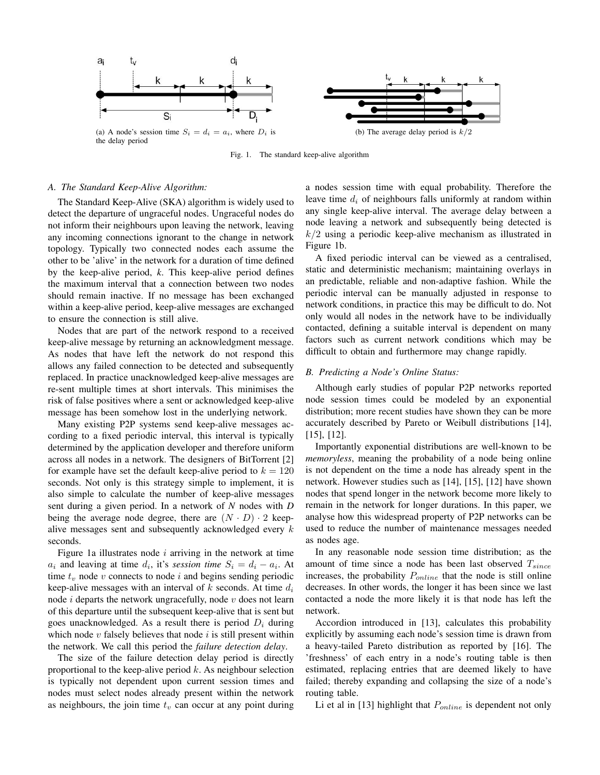

Fig. 1. The standard keep-alive algorithm

#### *A. The Standard Keep-Alive Algorithm:*

The Standard Keep-Alive (SKA) algorithm is widely used to detect the departure of ungraceful nodes. Ungraceful nodes do not inform their neighbours upon leaving the network, leaving any incoming connections ignorant to the change in network topology. Typically two connected nodes each assume the other to be 'alive' in the network for a duration of time defined by the keep-alive period, *k*. This keep-alive period defines the maximum interval that a connection between two nodes should remain inactive. If no message has been exchanged within a keep-alive period, keep-alive messages are exchanged to ensure the connection is still alive.

Nodes that are part of the network respond to a received keep-alive message by returning an acknowledgment message. As nodes that have left the network do not respond this allows any failed connection to be detected and subsequently replaced. In practice unacknowledged keep-alive messages are re-sent multiple times at short intervals. This minimises the risk of false positives where a sent or acknowledged keep-alive message has been somehow lost in the underlying network.

Many existing P2P systems send keep-alive messages according to a fixed periodic interval, this interval is typically determined by the application developer and therefore uniform across all nodes in a network. The designers of BitTorrent [2] for example have set the default keep-alive period to  $k = 120$ seconds. Not only is this strategy simple to implement, it is also simple to calculate the number of keep-alive messages sent during a given period. In a network of *N* nodes with *D* being the average node degree, there are  $(N \cdot D) \cdot 2$  keepalive messages sent and subsequently acknowledged every k seconds.

Figure 1a illustrates node  $i$  arriving in the network at time  $a_i$  and leaving at time  $d_i$ , it's *session time*  $S_i = d_i - a_i$ . At time  $t_v$  node v connects to node i and begins sending periodic keep-alive messages with an interval of k seconds. At time  $d_i$ node *i* departs the network ungracefully, node  $v$  does not learn of this departure until the subsequent keep-alive that is sent but goes unacknowledged. As a result there is period  $D_i$  during which node  $v$  falsely believes that node  $i$  is still present within the network. We call this period the *failure detection delay*.

The size of the failure detection delay period is directly proportional to the keep-alive period  $k$ . As neighbour selection is typically not dependent upon current session times and nodes must select nodes already present within the network as neighbours, the join time  $t<sub>v</sub>$  can occur at any point during a nodes session time with equal probability. Therefore the leave time  $d_i$  of neighbours falls uniformly at random within any single keep-alive interval. The average delay between a node leaving a network and subsequently being detected is  $k/2$  using a periodic keep-alive mechanism as illustrated in Figure 1b.

A fixed periodic interval can be viewed as a centralised, static and deterministic mechanism; maintaining overlays in an predictable, reliable and non-adaptive fashion. While the periodic interval can be manually adjusted in response to network conditions, in practice this may be difficult to do. Not only would all nodes in the network have to be individually contacted, defining a suitable interval is dependent on many factors such as current network conditions which may be difficult to obtain and furthermore may change rapidly.

## *B. Predicting a Node's Online Status:*

Although early studies of popular P2P networks reported node session times could be modeled by an exponential distribution; more recent studies have shown they can be more accurately described by Pareto or Weibull distributions [14], [15], [12].

Importantly exponential distributions are well-known to be *memoryless*, meaning the probability of a node being online is not dependent on the time a node has already spent in the network. However studies such as [14], [15], [12] have shown nodes that spend longer in the network become more likely to remain in the network for longer durations. In this paper, we analyse how this widespread property of P2P networks can be used to reduce the number of maintenance messages needed as nodes age.

In any reasonable node session time distribution; as the amount of time since a node has been last observed  $T_{since}$ increases, the probability  $P_{online}$  that the node is still online decreases. In other words, the longer it has been since we last contacted a node the more likely it is that node has left the network.

Accordion introduced in [13], calculates this probability explicitly by assuming each node's session time is drawn from a heavy-tailed Pareto distribution as reported by [16]. The 'freshness' of each entry in a node's routing table is then estimated, replacing entries that are deemed likely to have failed; thereby expanding and collapsing the size of a node's routing table.

Li et al in [13] highlight that  $P_{online}$  is dependent not only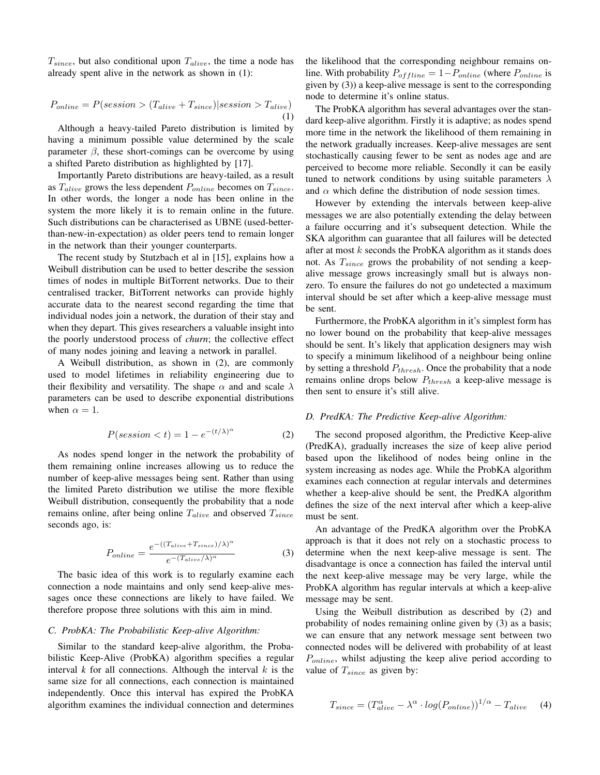$T_{since}$ , but also conditional upon  $T_{alive}$ , the time a node has already spent alive in the network as shown in (1):

$$
P_{online} = P(session > (T_{alive} + T_{since})|session > T_{alive})
$$
\n(1)

Although a heavy-tailed Pareto distribution is limited by having a minimum possible value determined by the scale parameter  $\beta$ , these short-comings can be overcome by using a shifted Pareto distribution as highlighted by [17].

Importantly Pareto distributions are heavy-tailed, as a result as  $T_{alive}$  grows the less dependent  $P_{online}$  becomes on  $T_{since}$ . In other words, the longer a node has been online in the system the more likely it is to remain online in the future. Such distributions can be characterised as UBNE (used-betterthan-new-in-expectation) as older peers tend to remain longer in the network than their younger counterparts.

The recent study by Stutzbach et al in [15], explains how a Weibull distribution can be used to better describe the session times of nodes in multiple BitTorrent networks. Due to their centralised tracker, BitTorrent networks can provide highly accurate data to the nearest second regarding the time that individual nodes join a network, the duration of their stay and when they depart. This gives researchers a valuable insight into the poorly understood process of *churn*; the collective effect of many nodes joining and leaving a network in parallel.

A Weibull distribution, as shown in (2), are commonly used to model lifetimes in reliability engineering due to their flexibility and versatility. The shape  $\alpha$  and and scale  $\lambda$ parameters can be used to describe exponential distributions when  $\alpha = 1$ .

$$
P(session < t) = 1 - e^{-(t/\lambda)^{\alpha}} \tag{2}
$$

As nodes spend longer in the network the probability of them remaining online increases allowing us to reduce the number of keep-alive messages being sent. Rather than using the limited Pareto distribution we utilise the more flexible Weibull distribution, consequently the probability that a node remains online, after being online  $T_{alive}$  and observed  $T_{since}$ seconds ago, is:

$$
P_{online} = \frac{e^{-((T_{alive} + T_{since})/\lambda)^{\alpha}}}{e^{-(T_{alive}/\lambda)^{\alpha}}}
$$
(3)

The basic idea of this work is to regularly examine each connection a node maintains and only send keep-alive messages once these connections are likely to have failed. We therefore propose three solutions with this aim in mind.

## *C. ProbKA: The Probabilistic Keep-alive Algorithm:*

Similar to the standard keep-alive algorithm, the Probabilistic Keep-Alive (ProbKA) algorithm specifies a regular interval  $k$  for all connections. Although the interval  $k$  is the same size for all connections, each connection is maintained independently. Once this interval has expired the ProbKA algorithm examines the individual connection and determines the likelihood that the corresponding neighbour remains online. With probability  $P_{offline} = 1-P_{online}$  (where  $P_{online}$  is given by (3)) a keep-alive message is sent to the corresponding node to determine it's online status.

The ProbKA algorithm has several advantages over the standard keep-alive algorithm. Firstly it is adaptive; as nodes spend more time in the network the likelihood of them remaining in the network gradually increases. Keep-alive messages are sent stochastically causing fewer to be sent as nodes age and are perceived to become more reliable. Secondly it can be easily tuned to network conditions by using suitable parameters  $\lambda$ and  $\alpha$  which define the distribution of node session times.

However by extending the intervals between keep-alive messages we are also potentially extending the delay between a failure occurring and it's subsequent detection. While the SKA algorithm can guarantee that all failures will be detected after at most  $k$  seconds the ProbKA algorithm as it stands does not. As  $T_{since}$  grows the probability of not sending a keepalive message grows increasingly small but is always nonzero. To ensure the failures do not go undetected a maximum interval should be set after which a keep-alive message must be sent.

Furthermore, the ProbKA algorithm in it's simplest form has no lower bound on the probability that keep-alive messages should be sent. It's likely that application designers may wish to specify a minimum likelihood of a neighbour being online by setting a threshold  $P_{thresh}$ . Once the probability that a node remains online drops below  $P_{thresh}$  a keep-alive message is then sent to ensure it's still alive.

## *D. PredKA: The Predictive Keep-alive Algorithm:*

The second proposed algorithm, the Predictive Keep-alive (PredKA), gradually increases the size of keep alive period based upon the likelihood of nodes being online in the system increasing as nodes age. While the ProbKA algorithm examines each connection at regular intervals and determines whether a keep-alive should be sent, the PredKA algorithm defines the size of the next interval after which a keep-alive must be sent.

An advantage of the PredKA algorithm over the ProbKA approach is that it does not rely on a stochastic process to determine when the next keep-alive message is sent. The disadvantage is once a connection has failed the interval until the next keep-alive message may be very large, while the ProbKA algorithm has regular intervals at which a keep-alive message may be sent.

Using the Weibull distribution as described by (2) and probability of nodes remaining online given by (3) as a basis; we can ensure that any network message sent between two connected nodes will be delivered with probability of at least  $P_{online}$ , whilst adjusting the keep alive period according to value of  $T_{since}$  as given by:

$$
T_{since} = (T_{alive}^{\alpha} - \lambda^{\alpha} \cdot log(P_{online}))^{1/\alpha} - T_{alive} \quad (4)
$$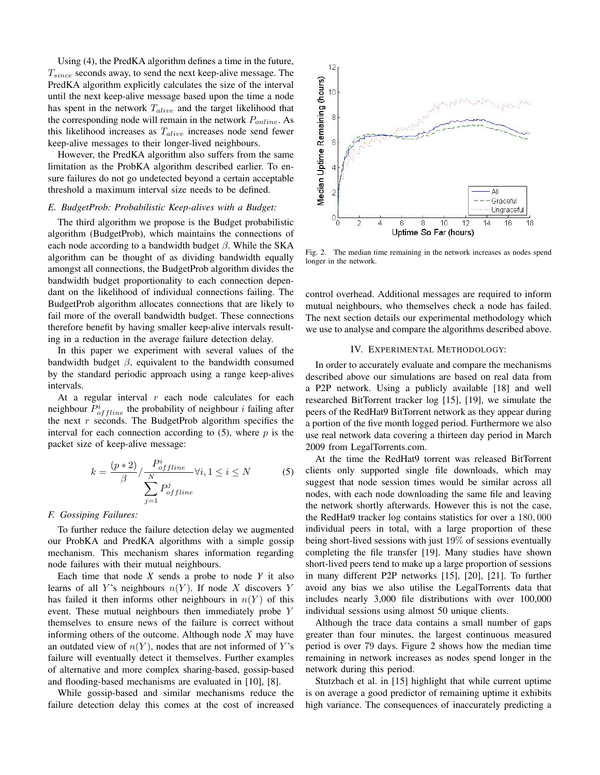Using (4), the PredKA algorithm defines a time in the future,  $T_{since}$  seconds away, to send the next keep-alive message. The PredKA algorithm explicitly calculates the size of the interval until the next keep-alive message based upon the time a node has spent in the network  $T_{alive}$  and the target likelihood that the corresponding node will remain in the network  $P_{online}$ . As this likelihood increases as  $T_{alive}$  increases node send fewer keep-alive messages to their longer-lived neighbours.

However, the PredKA algorithm also suffers from the same limitation as the ProbKA algorithm described earlier. To ensure failures do not go undetected beyond a certain acceptable threshold a maximum interval size needs to be defined.

#### *E. BudgetProb: Probabilistic Keep-alives with a Budget:*

The third algorithm we propose is the Budget probabilistic algorithm (BudgetProb), which maintains the connections of each node according to a bandwidth budget  $\beta$ . While the SKA algorithm can be thought of as dividing bandwidth equally amongst all connections, the BudgetProb algorithm divides the bandwidth budget proportionality to each connection dependant on the likelihood of individual connections failing. The BudgetProb algorithm allocates connections that are likely to fail more of the overall bandwidth budget. These connections therefore benefit by having smaller keep-alive intervals resulting in a reduction in the average failure detection delay.

In this paper we experiment with several values of the bandwidth budget  $\beta$ , equivalent to the bandwidth consumed by the standard periodic approach using a range keep-alives intervals.

At a regular interval  $r$  each node calculates for each neighbour  $P_{offline}^{i}$  the probability of neighbour i failing after the next  $r$  seconds. The BudgetProb algorithm specifies the interval for each connection according to  $(5)$ , where p is the packet size of keep-alive message:

$$
k = \frac{(p*2)}{\beta} / \frac{P_{of\,line{fline}}^i}{\sum_{j=1}^N P_{offline}^j}
$$
 (5)

# *F. Gossiping Failures:*

To further reduce the failure detection delay we augmented our ProbKA and PredKA algorithms with a simple gossip mechanism. This mechanism shares information regarding node failures with their mutual neighbours.

Each time that node *X* sends a probe to node *Y* it also learns of all Y's neighbours  $n(Y)$ . If node X discovers Y has failed it then informs other neighbours in  $n(Y)$  of this event. These mutual neighbours then immediately probe Y themselves to ensure news of the failure is correct without informing others of the outcome. Although node  $X$  may have an outdated view of  $n(Y)$ , nodes that are not informed of Y's failure will eventually detect it themselves. Further examples of alternative and more complex sharing-based, gossip-based and flooding-based mechanisms are evaluated in [10], [8].

While gossip-based and similar mechanisms reduce the failure detection delay this comes at the cost of increased



Fig. 2. The median time remaining in the network increases as nodes spend longer in the network.

control overhead. Additional messages are required to inform mutual neighbours, who themselves check a node has failed. The next section details our experimental methodology which we use to analyse and compare the algorithms described above.

## IV. EXPERIMENTAL METHODOLOGY:

In order to accurately evaluate and compare the mechanisms described above our simulations are based on real data from a P2P network. Using a publicly available [18] and well researched BitTorrent tracker log [15], [19], we simulate the peers of the RedHat9 BitTorrent network as they appear during a portion of the five month logged period. Furthermore we also use real network data covering a thirteen day period in March 2009 from LegalTorrents.com.

At the time the RedHat9 torrent was released BitTorrent clients only supported single file downloads, which may suggest that node session times would be similar across all nodes, with each node downloading the same file and leaving the network shortly afterwards. However this is not the case, the RedHat9 tracker log contains statistics for over a 180, 000 individual peers in total, with a large proportion of these being short-lived sessions with just 19% of sessions eventually completing the file transfer [19]. Many studies have shown short-lived peers tend to make up a large proportion of sessions in many different P2P networks [15], [20], [21]. To further avoid any bias we also utilise the LegalTorrents data that includes nearly 3,000 file distributions with over 100,000 individual sessions using almost 50 unique clients.

Although the trace data contains a small number of gaps greater than four minutes, the largest continuous measured period is over 79 days. Figure 2 shows how the median time remaining in network increases as nodes spend longer in the network during this period.

Stutzbach et al. in [15] highlight that while current uptime is on average a good predictor of remaining uptime it exhibits high variance. The consequences of inaccurately predicting a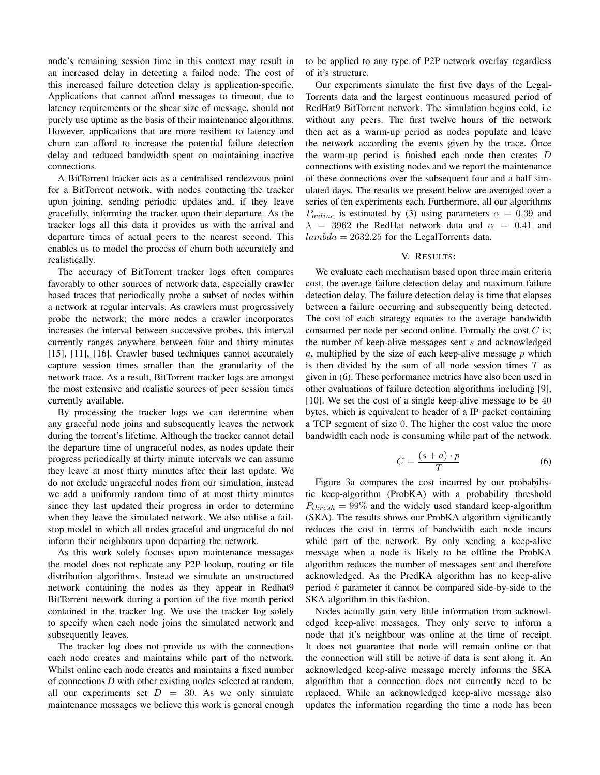node's remaining session time in this context may result in an increased delay in detecting a failed node. The cost of this increased failure detection delay is application-specific. Applications that cannot afford messages to timeout, due to latency requirements or the shear size of message, should not purely use uptime as the basis of their maintenance algorithms. However, applications that are more resilient to latency and churn can afford to increase the potential failure detection delay and reduced bandwidth spent on maintaining inactive connections.

A BitTorrent tracker acts as a centralised rendezvous point for a BitTorrent network, with nodes contacting the tracker upon joining, sending periodic updates and, if they leave gracefully, informing the tracker upon their departure. As the tracker logs all this data it provides us with the arrival and departure times of actual peers to the nearest second. This enables us to model the process of churn both accurately and realistically.

The accuracy of BitTorrent tracker logs often compares favorably to other sources of network data, especially crawler based traces that periodically probe a subset of nodes within a network at regular intervals. As crawlers must progressively probe the network; the more nodes a crawler incorporates increases the interval between successive probes, this interval currently ranges anywhere between four and thirty minutes [15], [11], [16]. Crawler based techniques cannot accurately capture session times smaller than the granularity of the network trace. As a result, BitTorrent tracker logs are amongst the most extensive and realistic sources of peer session times currently available.

By processing the tracker logs we can determine when any graceful node joins and subsequently leaves the network during the torrent's lifetime. Although the tracker cannot detail the departure time of ungraceful nodes, as nodes update their progress periodically at thirty minute intervals we can assume they leave at most thirty minutes after their last update. We do not exclude ungraceful nodes from our simulation, instead we add a uniformly random time of at most thirty minutes since they last updated their progress in order to determine when they leave the simulated network. We also utilise a failstop model in which all nodes graceful and ungraceful do not inform their neighbours upon departing the network.

As this work solely focuses upon maintenance messages the model does not replicate any P2P lookup, routing or file distribution algorithms. Instead we simulate an unstructured network containing the nodes as they appear in Redhat9 BitTorrent network during a portion of the five month period contained in the tracker log. We use the tracker log solely to specify when each node joins the simulated network and subsequently leaves.

The tracker log does not provide us with the connections each node creates and maintains while part of the network. Whilst online each node creates and maintains a fixed number of connections *D* with other existing nodes selected at random, all our experiments set  $D = 30$ . As we only simulate maintenance messages we believe this work is general enough to be applied to any type of P2P network overlay regardless of it's structure.

Our experiments simulate the first five days of the Legal-Torrents data and the largest continuous measured period of RedHat9 BitTorrent network. The simulation begins cold, i.e without any peers. The first twelve hours of the network then act as a warm-up period as nodes populate and leave the network according the events given by the trace. Once the warm-up period is finished each node then creates  $D$ connections with existing nodes and we report the maintenance of these connections over the subsequent four and a half simulated days. The results we present below are averaged over a series of ten experiments each. Furthermore, all our algorithms  $P_{online}$  is estimated by (3) using parameters  $\alpha = 0.39$  and  $\lambda$  = 3962 the RedHat network data and  $\alpha$  = 0.41 and  $lambda = 2632.25$  for the LegalTorrents data.

#### V. RESULTS:

We evaluate each mechanism based upon three main criteria cost, the average failure detection delay and maximum failure detection delay. The failure detection delay is time that elapses between a failure occurring and subsequently being detected. The cost of each strategy equates to the average bandwidth consumed per node per second online. Formally the cost C is; the number of keep-alive messages sent s and acknowledged  $a$ , multiplied by the size of each keep-alive message  $p$  which is then divided by the sum of all node session times  $T$  as given in (6). These performance metrics have also been used in other evaluations of failure detection algorithms including [9], [10]. We set the cost of a single keep-alive message to be 40 bytes, which is equivalent to header of a IP packet containing a TCP segment of size 0. The higher the cost value the more bandwidth each node is consuming while part of the network.

$$
C = \frac{(s+a)\cdot p}{T} \tag{6}
$$

Figure 3a compares the cost incurred by our probabilistic keep-algorithm (ProbKA) with a probability threshold  $P_{thresh} = 99\%$  and the widely used standard keep-algorithm (SKA). The results shows our ProbKA algorithm significantly reduces the cost in terms of bandwidth each node incurs while part of the network. By only sending a keep-alive message when a node is likely to be offline the ProbKA algorithm reduces the number of messages sent and therefore acknowledged. As the PredKA algorithm has no keep-alive period k parameter it cannot be compared side-by-side to the SKA algorithm in this fashion.

Nodes actually gain very little information from acknowledged keep-alive messages. They only serve to inform a node that it's neighbour was online at the time of receipt. It does not guarantee that node will remain online or that the connection will still be active if data is sent along it. An acknowledged keep-alive message merely informs the SKA algorithm that a connection does not currently need to be replaced. While an acknowledged keep-alive message also updates the information regarding the time a node has been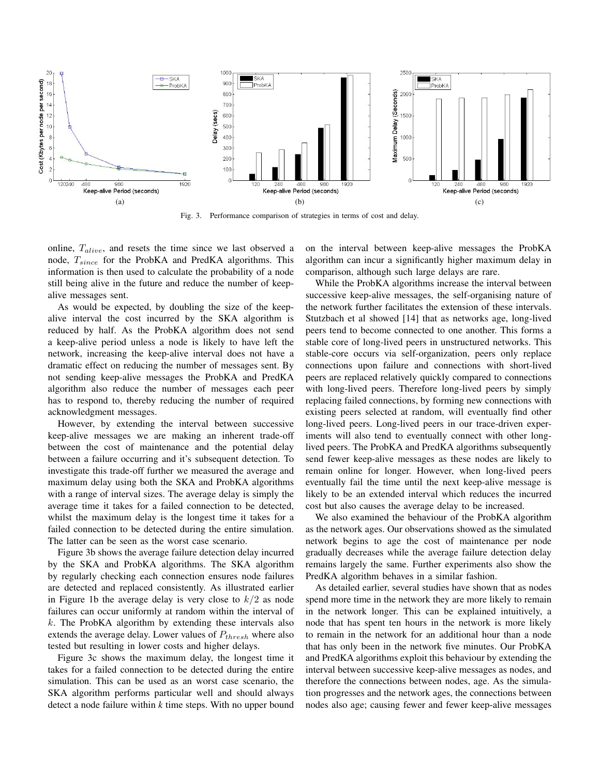

Fig. 3. Performance comparison of strategies in terms of cost and delay.

online, Talive, and resets the time since we last observed a node,  $T_{since}$  for the ProbKA and PredKA algorithms. This information is then used to calculate the probability of a node still being alive in the future and reduce the number of keepalive messages sent.

As would be expected, by doubling the size of the keepalive interval the cost incurred by the SKA algorithm is reduced by half. As the ProbKA algorithm does not send a keep-alive period unless a node is likely to have left the network, increasing the keep-alive interval does not have a dramatic effect on reducing the number of messages sent. By not sending keep-alive messages the ProbKA and PredKA algorithm also reduce the number of messages each peer has to respond to, thereby reducing the number of required acknowledgment messages.

However, by extending the interval between successive keep-alive messages we are making an inherent trade-off between the cost of maintenance and the potential delay between a failure occurring and it's subsequent detection. To investigate this trade-off further we measured the average and maximum delay using both the SKA and ProbKA algorithms with a range of interval sizes. The average delay is simply the average time it takes for a failed connection to be detected, whilst the maximum delay is the longest time it takes for a failed connection to be detected during the entire simulation. The latter can be seen as the worst case scenario.

Figure 3b shows the average failure detection delay incurred by the SKA and ProbKA algorithms. The SKA algorithm by regularly checking each connection ensures node failures are detected and replaced consistently. As illustrated earlier in Figure 1b the average delay is very close to  $k/2$  as node failures can occur uniformly at random within the interval of  $k$ . The ProbKA algorithm by extending these intervals also extends the average delay. Lower values of  $P_{thresh}$  where also tested but resulting in lower costs and higher delays.

Figure 3c shows the maximum delay, the longest time it takes for a failed connection to be detected during the entire simulation. This can be used as an worst case scenario, the SKA algorithm performs particular well and should always detect a node failure within *k* time steps. With no upper bound on the interval between keep-alive messages the ProbKA algorithm can incur a significantly higher maximum delay in comparison, although such large delays are rare.

While the ProbKA algorithms increase the interval between successive keep-alive messages, the self-organising nature of the network further facilitates the extension of these intervals. Stutzbach et al showed [14] that as networks age, long-lived peers tend to become connected to one another. This forms a stable core of long-lived peers in unstructured networks. This stable-core occurs via self-organization, peers only replace connections upon failure and connections with short-lived peers are replaced relatively quickly compared to connections with long-lived peers. Therefore long-lived peers by simply replacing failed connections, by forming new connections with existing peers selected at random, will eventually find other long-lived peers. Long-lived peers in our trace-driven experiments will also tend to eventually connect with other longlived peers. The ProbKA and PredKA algorithms subsequently send fewer keep-alive messages as these nodes are likely to remain online for longer. However, when long-lived peers eventually fail the time until the next keep-alive message is likely to be an extended interval which reduces the incurred cost but also causes the average delay to be increased.

We also examined the behaviour of the ProbKA algorithm as the network ages. Our observations showed as the simulated network begins to age the cost of maintenance per node gradually decreases while the average failure detection delay remains largely the same. Further experiments also show the PredKA algorithm behaves in a similar fashion.

As detailed earlier, several studies have shown that as nodes spend more time in the network they are more likely to remain in the network longer. This can be explained intuitively, a node that has spent ten hours in the network is more likely to remain in the network for an additional hour than a node that has only been in the network five minutes. Our ProbKA and PredKA algorithms exploit this behaviour by extending the interval between successive keep-alive messages as nodes, and therefore the connections between nodes, age. As the simulation progresses and the network ages, the connections between nodes also age; causing fewer and fewer keep-alive messages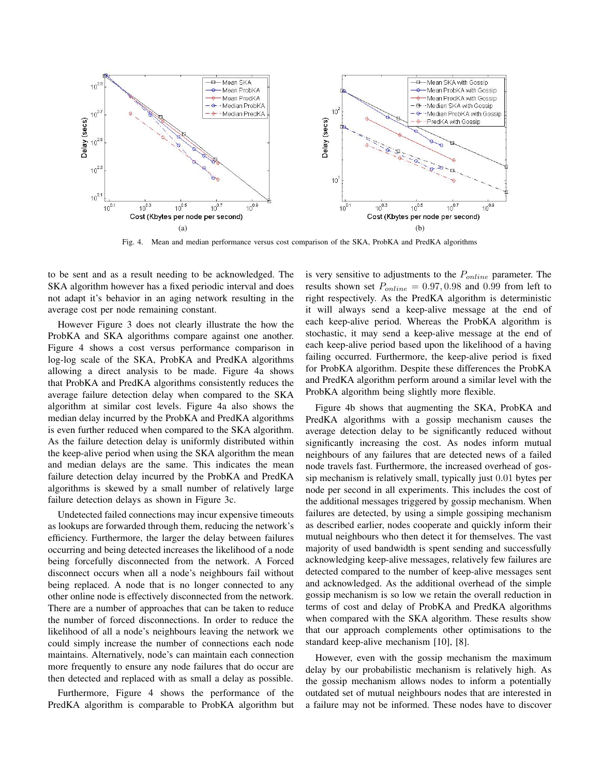

Fig. 4. Mean and median performance versus cost comparison of the SKA, ProbKA and PredKA algorithms

to be sent and as a result needing to be acknowledged. The SKA algorithm however has a fixed periodic interval and does not adapt it's behavior in an aging network resulting in the average cost per node remaining constant.

However Figure 3 does not clearly illustrate the how the ProbKA and SKA algorithms compare against one another. Figure 4 shows a cost versus performance comparison in log-log scale of the SKA, ProbKA and PredKA algorithms allowing a direct analysis to be made. Figure 4a shows that ProbKA and PredKA algorithms consistently reduces the average failure detection delay when compared to the SKA algorithm at similar cost levels. Figure 4a also shows the median delay incurred by the ProbKA and PredKA algorithms is even further reduced when compared to the SKA algorithm. As the failure detection delay is uniformly distributed within the keep-alive period when using the SKA algorithm the mean and median delays are the same. This indicates the mean failure detection delay incurred by the ProbKA and PredKA algorithms is skewed by a small number of relatively large failure detection delays as shown in Figure 3c.

Undetected failed connections may incur expensive timeouts as lookups are forwarded through them, reducing the network's efficiency. Furthermore, the larger the delay between failures occurring and being detected increases the likelihood of a node being forcefully disconnected from the network. A Forced disconnect occurs when all a node's neighbours fail without being replaced. A node that is no longer connected to any other online node is effectively disconnected from the network. There are a number of approaches that can be taken to reduce the number of forced disconnections. In order to reduce the likelihood of all a node's neighbours leaving the network we could simply increase the number of connections each node maintains. Alternatively, node's can maintain each connection more frequently to ensure any node failures that do occur are then detected and replaced with as small a delay as possible.

Furthermore, Figure 4 shows the performance of the PredKA algorithm is comparable to ProbKA algorithm but

is very sensitive to adjustments to the  $P_{online}$  parameter. The results shown set  $P_{online} = 0.97, 0.98$  and 0.99 from left to right respectively. As the PredKA algorithm is deterministic it will always send a keep-alive message at the end of each keep-alive period. Whereas the ProbKA algorithm is stochastic, it may send a keep-alive message at the end of each keep-alive period based upon the likelihood of a having failing occurred. Furthermore, the keep-alive period is fixed for ProbKA algorithm. Despite these differences the ProbKA and PredKA algorithm perform around a similar level with the ProbKA algorithm being slightly more flexible.

Figure 4b shows that augmenting the SKA, ProbKA and PredKA algorithms with a gossip mechanism causes the average detection delay to be significantly reduced without significantly increasing the cost. As nodes inform mutual neighbours of any failures that are detected news of a failed node travels fast. Furthermore, the increased overhead of gossip mechanism is relatively small, typically just 0.01 bytes per node per second in all experiments. This includes the cost of the additional messages triggered by gossip mechanism. When failures are detected, by using a simple gossiping mechanism as described earlier, nodes cooperate and quickly inform their mutual neighbours who then detect it for themselves. The vast majority of used bandwidth is spent sending and successfully acknowledging keep-alive messages, relatively few failures are detected compared to the number of keep-alive messages sent and acknowledged. As the additional overhead of the simple gossip mechanism is so low we retain the overall reduction in terms of cost and delay of ProbKA and PredKA algorithms when compared with the SKA algorithm. These results show that our approach complements other optimisations to the standard keep-alive mechanism [10], [8].

However, even with the gossip mechanism the maximum delay by our probabilistic mechanism is relatively high. As the gossip mechanism allows nodes to inform a potentially outdated set of mutual neighbours nodes that are interested in a failure may not be informed. These nodes have to discover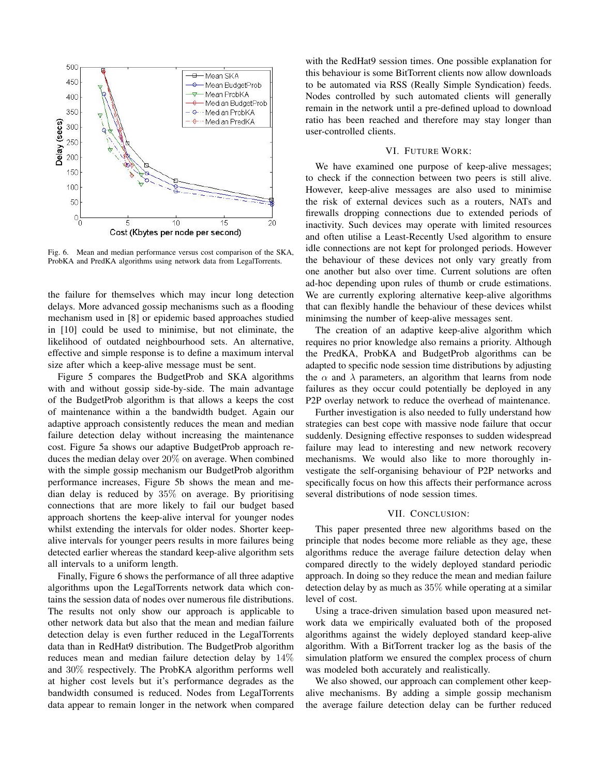

Fig. 6. Mean and median performance versus cost comparison of the SKA, ProbKA and PredKA algorithms using network data from LegalTorrents.

the failure for themselves which may incur long detection delays. More advanced gossip mechanisms such as a flooding mechanism used in [8] or epidemic based approaches studied in [10] could be used to minimise, but not eliminate, the likelihood of outdated neighbourhood sets. An alternative, effective and simple response is to define a maximum interval size after which a keep-alive message must be sent.

Figure 5 compares the BudgetProb and SKA algorithms with and without gossip side-by-side. The main advantage of the BudgetProb algorithm is that allows a keeps the cost of maintenance within a the bandwidth budget. Again our adaptive approach consistently reduces the mean and median failure detection delay without increasing the maintenance cost. Figure 5a shows our adaptive BudgetProb approach reduces the median delay over 20% on average. When combined with the simple gossip mechanism our BudgetProb algorithm performance increases, Figure 5b shows the mean and median delay is reduced by 35% on average. By prioritising connections that are more likely to fail our budget based approach shortens the keep-alive interval for younger nodes whilst extending the intervals for older nodes. Shorter keepalive intervals for younger peers results in more failures being detected earlier whereas the standard keep-alive algorithm sets all intervals to a uniform length.

Finally, Figure 6 shows the performance of all three adaptive algorithms upon the LegalTorrents network data which contains the session data of nodes over numerous file distributions. The results not only show our approach is applicable to other network data but also that the mean and median failure detection delay is even further reduced in the LegalTorrents data than in RedHat9 distribution. The BudgetProb algorithm reduces mean and median failure detection delay by 14% and 30% respectively. The ProbKA algorithm performs well at higher cost levels but it's performance degrades as the bandwidth consumed is reduced. Nodes from LegalTorrents data appear to remain longer in the network when compared

with the RedHat9 session times. One possible explanation for this behaviour is some BitTorrent clients now allow downloads to be automated via RSS (Really Simple Syndication) feeds. Nodes controlled by such automated clients will generally remain in the network until a pre-defined upload to download ratio has been reached and therefore may stay longer than user-controlled clients.

## VI. FUTURE WORK:

We have examined one purpose of keep-alive messages; to check if the connection between two peers is still alive. However, keep-alive messages are also used to minimise the risk of external devices such as a routers, NATs and firewalls dropping connections due to extended periods of inactivity. Such devices may operate with limited resources and often utilise a Least-Recently Used algorithm to ensure idle connections are not kept for prolonged periods. However the behaviour of these devices not only vary greatly from one another but also over time. Current solutions are often ad-hoc depending upon rules of thumb or crude estimations. We are currently exploring alternative keep-alive algorithms that can flexibly handle the behaviour of these devices whilst minimsing the number of keep-alive messages sent.

The creation of an adaptive keep-alive algorithm which requires no prior knowledge also remains a priority. Although the PredKA, ProbKA and BudgetProb algorithms can be adapted to specific node session time distributions by adjusting the  $\alpha$  and  $\lambda$  parameters, an algorithm that learns from node failures as they occur could potentially be deployed in any P2P overlay network to reduce the overhead of maintenance.

Further investigation is also needed to fully understand how strategies can best cope with massive node failure that occur suddenly. Designing effective responses to sudden widespread failure may lead to interesting and new network recovery mechanisms. We would also like to more thoroughly investigate the self-organising behaviour of P2P networks and specifically focus on how this affects their performance across several distributions of node session times.

## VII. CONCLUSION:

This paper presented three new algorithms based on the principle that nodes become more reliable as they age, these algorithms reduce the average failure detection delay when compared directly to the widely deployed standard periodic approach. In doing so they reduce the mean and median failure detection delay by as much as 35% while operating at a similar level of cost.

Using a trace-driven simulation based upon measured network data we empirically evaluated both of the proposed algorithms against the widely deployed standard keep-alive algorithm. With a BitTorrent tracker log as the basis of the simulation platform we ensured the complex process of churn was modeled both accurately and realistically.

We also showed, our approach can complement other keepalive mechanisms. By adding a simple gossip mechanism the average failure detection delay can be further reduced